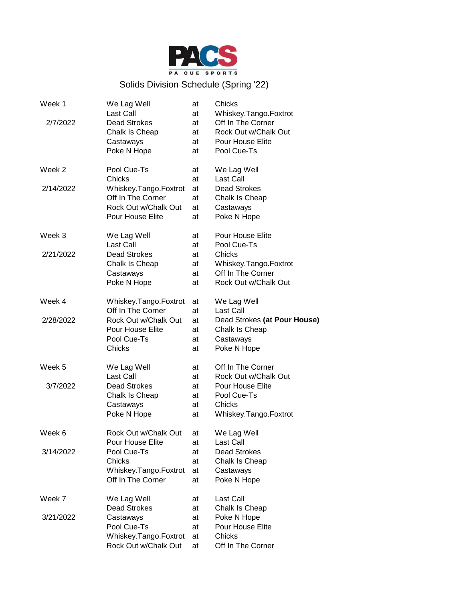

## Solids Division Schedule (Spring '22)

| Week 1    | We Lag Well           | at | Chicks                       |
|-----------|-----------------------|----|------------------------------|
|           | <b>Last Call</b>      | at | Whiskey.Tango.Foxtrot        |
| 2/7/2022  | <b>Dead Strokes</b>   | at | Off In The Corner            |
|           | Chalk Is Cheap        | at | Rock Out w/Chalk Out         |
|           | Castaways             | at | Pour House Elite             |
|           | Poke N Hope           | at | Pool Cue-Ts                  |
| Week 2    | Pool Cue-Ts           | at | We Lag Well                  |
|           | <b>Chicks</b>         | at | Last Call                    |
| 2/14/2022 | Whiskey.Tango.Foxtrot | at | <b>Dead Strokes</b>          |
|           | Off In The Corner     | at | Chalk Is Cheap               |
|           | Rock Out w/Chalk Out  | at | Castaways                    |
|           | Pour House Elite      | at | Poke N Hope                  |
| Week 3    | We Lag Well           | at | Pour House Elite             |
|           | Last Call             | at | Pool Cue-Ts                  |
| 2/21/2022 | <b>Dead Strokes</b>   | at | Chicks                       |
|           | Chalk Is Cheap        | at | Whiskey.Tango.Foxtrot        |
|           | Castaways             | at | Off In The Corner            |
|           | Poke N Hope           | at | Rock Out w/Chalk Out         |
| Week 4    | Whiskey.Tango.Foxtrot | at | We Lag Well                  |
|           | Off In The Corner     | at | Last Call                    |
| 2/28/2022 | Rock Out w/Chalk Out  | at | Dead Strokes (at Pour House) |
|           | Pour House Elite      | at | Chalk Is Cheap               |
|           | Pool Cue-Ts           | at | Castaways                    |
|           | Chicks                | at | Poke N Hope                  |
| Week 5    | We Lag Well           | at | Off In The Corner            |
|           | Last Call             | at | Rock Out w/Chalk Out         |
| 3/7/2022  | <b>Dead Strokes</b>   | at | Pour House Elite             |
|           | Chalk Is Cheap        | at | Pool Cue-Ts                  |
|           | Castaways             | at | Chicks                       |
|           | Poke N Hope           | at | Whiskey.Tango.Foxtrot        |
| Week 6    | Rock Out w/Chalk Out  | at | We Lag Well                  |
|           | Pour House Elite      | at | Last Call                    |
| 3/14/2022 | Pool Cue-Ts           | at | Dead Strokes                 |
|           | Chicks                | at | Chalk Is Cheap               |
|           | Whiskey.Tango.Foxtrot | at | Castaways                    |
|           | Off In The Corner     | at | Poke N Hope                  |
| Week 7    | We Lag Well           | at | Last Call                    |
|           | <b>Dead Strokes</b>   | at | Chalk Is Cheap               |
| 3/21/2022 | Castaways             | at | Poke N Hope                  |
|           | Pool Cue-Ts           | at | Pour House Elite             |
|           | Whiskey.Tango.Foxtrot | at | Chicks                       |
|           | Rock Out w/Chalk Out  | at | Off In The Corner            |
|           |                       |    |                              |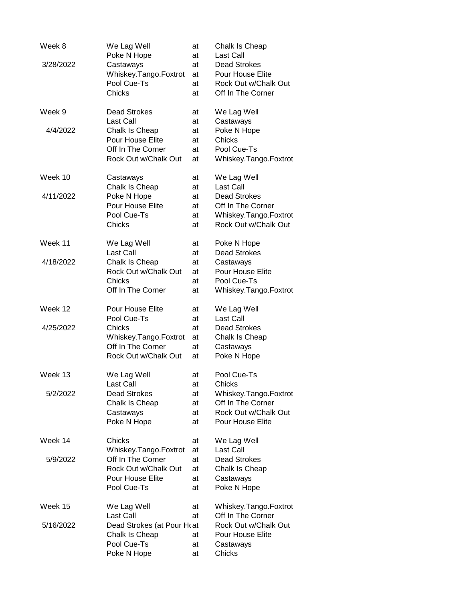| Week 8    | We Lag Well<br>Poke N Hope             | at<br>at | Chalk Is Cheap<br>Last Call           |
|-----------|----------------------------------------|----------|---------------------------------------|
| 3/28/2022 | Castaways                              | at       | Dead Strokes                          |
|           | Whiskey.Tango.Foxtrot                  | at       | Pour House Elite                      |
|           | Pool Cue-Ts                            | at       | Rock Out w/Chalk Out                  |
|           | Chicks                                 | at       | Off In The Corner                     |
| Week 9    | <b>Dead Strokes</b>                    | at       | We Lag Well                           |
|           | <b>Last Call</b>                       | at       | Castaways                             |
| 4/4/2022  | Chalk Is Cheap                         | at       | Poke N Hope                           |
|           | Pour House Elite<br>Off In The Corner  | at<br>at | Chicks<br>Pool Cue-Ts                 |
|           | Rock Out w/Chalk Out                   | at       | Whiskey.Tango.Foxtrot                 |
|           |                                        |          |                                       |
| Week 10   | Castaways<br>Chalk Is Cheap            | at<br>at | We Lag Well<br><b>Last Call</b>       |
| 4/11/2022 | Poke N Hope                            | at       | <b>Dead Strokes</b>                   |
|           | Pour House Elite                       | at       | Off In The Corner                     |
|           | Pool Cue-Ts                            | at       | Whiskey.Tango.Foxtrot                 |
|           | Chicks                                 | at       | Rock Out w/Chalk Out                  |
|           |                                        |          |                                       |
| Week 11   | We Lag Well                            | at       | Poke N Hope                           |
|           | <b>Last Call</b>                       | at       | <b>Dead Strokes</b>                   |
| 4/18/2022 | Chalk Is Cheap<br>Rock Out w/Chalk Out | at       | Castaways<br>Pour House Elite         |
|           | Chicks                                 | at<br>at | Pool Cue-Ts                           |
|           | Off In The Corner                      | at       | Whiskey.Tango.Foxtrot                 |
|           |                                        |          |                                       |
| Week 12   | Pour House Elite                       | at       | We Lag Well                           |
|           | Pool Cue-Ts                            | at       | Last Call                             |
| 4/25/2022 | Chicks<br>Whiskey.Tango.Foxtrot        | at       | <b>Dead Strokes</b><br>Chalk Is Cheap |
|           | Off In The Corner                      | at<br>at | Castaways                             |
|           | Rock Out w/Chalk Out                   | at       | Poke N Hope                           |
|           |                                        |          |                                       |
| Week 13   | We Lag Well<br>Last Call               | at<br>at | Pool Cue-Ts<br>Chicks                 |
| 5/2/2022  | <b>Dead Strokes</b>                    | at       | Whiskey.Tango.Foxtrot                 |
|           | Chalk Is Cheap                         | at       | Off In The Corner                     |
|           | Castaways                              | at       | Rock Out w/Chalk Out                  |
|           | Poke N Hope                            | at       | Pour House Elite                      |
| Week 14   | Chicks                                 | at       | We Lag Well                           |
|           | Whiskey.Tango.Foxtrot                  | at       | Last Call                             |
| 5/9/2022  | Off In The Corner                      | at       | <b>Dead Strokes</b>                   |
|           | Rock Out w/Chalk Out                   | at       | Chalk Is Cheap                        |
|           | Pour House Elite                       | at       | Castaways                             |
|           | Pool Cue-Ts                            | at       | Poke N Hope                           |
|           |                                        |          |                                       |
| Week 15   | We Lag Well                            | at       | Whiskey.Tango.Foxtrot                 |
|           | Last Call                              | at       | Off In The Corner                     |
| 5/16/2022 | Dead Strokes (at Pour Hoat             |          | Rock Out w/Chalk Out                  |
|           | Chalk Is Cheap                         | at       | Pour House Elite                      |
|           | Pool Cue-Ts<br>Poke N Hope             | at<br>at | Castaways<br>Chicks                   |